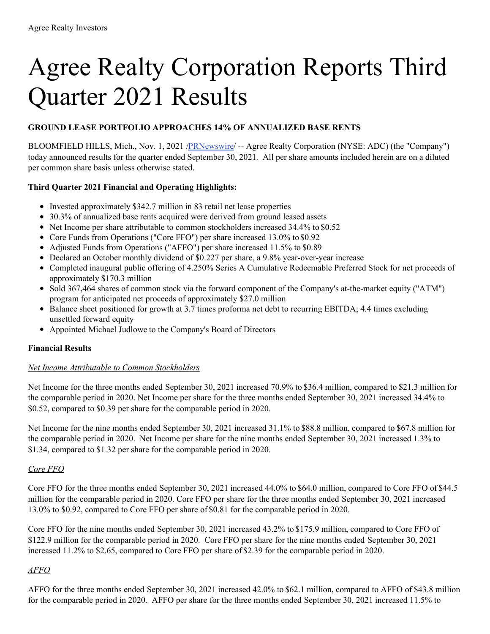# Agree Realty Corporation Reports Third Quarter 2021 Results

# **GROUND LEASE PORTFOLIO APPROACHES 14% OF ANNUALIZED BASE RENTS**

BLOOMFIELD HILLS, Mich., Nov. 1, 2021 [/PRNewswire](http://www.prnewswire.com/)/ -- Agree Realty Corporation (NYSE: ADC) (the "Company") today announced results for the quarter ended September 30, 2021. All per share amounts included herein are on a diluted per common share basis unless otherwise stated.

## **Third Quarter 2021 Financial and Operating Highlights:**

- Invested approximately \$342.7 million in 83 retail net lease properties
- 30.3% of annualized base rents acquired were derived from ground leased assets
- Net Income per share attributable to common stockholders increased 34.4% to \$0.52
- Core Funds from Operations ("Core FFO") per share increased 13.0% to \$0.92
- Adjusted Funds from Operations ("AFFO") per share increased 11.5% to \$0.89
- Declared an October monthly dividend of \$0.227 per share, a 9.8% year-over-year increase
- Completed inaugural public offering of 4.250% Series A Cumulative Redeemable Preferred Stock for net proceeds of approximately \$170.3 million
- Sold 367,464 shares of common stock via the forward component of the Company's at-the-market equity ("ATM") program for anticipated net proceeds of approximately \$27.0 million
- Balance sheet positioned for growth at 3.7 times proforma net debt to recurring EBITDA; 4.4 times excluding unsettled forward equity
- Appointed Michael Judlowe to the Company's Board of Directors

#### **Financial Results**

#### *Net Income Attributable to Common Stockholders*

Net Income for the three months ended September 30, 2021 increased 70.9% to \$36.4 million, compared to \$21.3 million for the comparable period in 2020. Net Income per share for the three months ended September 30, 2021 increased 34.4% to \$0.52, compared to \$0.39 per share for the comparable period in 2020.

Net Income for the nine months ended September 30, 2021 increased 31.1% to \$88.8 million, compared to \$67.8 million for the comparable period in 2020. Net Income per share for the nine months ended September 30, 2021 increased 1.3% to \$1.34, compared to \$1.32 per share for the comparable period in 2020.

#### *Core FFO*

Core FFO for the three months ended September 30, 2021 increased 44.0% to \$64.0 million, compared to Core FFO of \$44.5 million for the comparable period in 2020. Core FFO per share for the three months ended September 30, 2021 increased 13.0% to \$0.92, compared to Core FFO per share of \$0.81 for the comparable period in 2020.

Core FFO for the nine months ended September 30, 2021 increased 43.2% to \$175.9 million, compared to Core FFO of \$122.9 million for the comparable period in 2020. Core FFO per share for the nine months ended September 30, 2021 increased 11.2% to \$2.65, compared to Core FFO per share of \$2.39 for the comparable period in 2020.

#### *AFFO*

AFFO for the three months ended September 30, 2021 increased 42.0% to \$62.1 million, compared to AFFO of \$43.8 million for the comparable period in 2020. AFFO per share for the three months ended September 30, 2021 increased 11.5% to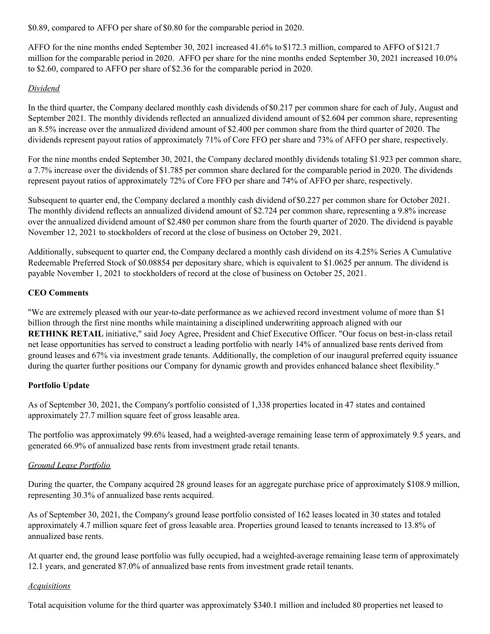\$0.89, compared to AFFO per share of \$0.80 for the comparable period in 2020.

AFFO for the nine months ended September 30, 2021 increased 41.6% to \$172.3 million, compared to AFFO of \$121.7 million for the comparable period in 2020. AFFO per share for the nine months ended September 30, 2021 increased 10.0% to \$2.60, compared to AFFO per share of \$2.36 for the comparable period in 2020.

## *Dividend*

In the third quarter, the Company declared monthly cash dividends of \$0.217 per common share for each of July, August and September 2021. The monthly dividends reflected an annualized dividend amount of \$2.604 per common share, representing an 8.5% increase over the annualized dividend amount of \$2.400 per common share from the third quarter of 2020. The dividends represent payout ratios of approximately 71% of Core FFO per share and 73% of AFFO per share, respectively.

For the nine months ended September 30, 2021, the Company declared monthly dividends totaling \$1.923 per common share, a 7.7% increase over the dividends of \$1.785 per common share declared for the comparable period in 2020. The dividends represent payout ratios of approximately 72% of Core FFO per share and 74% of AFFO per share, respectively.

Subsequent to quarter end, the Company declared a monthly cash dividend of \$0.227 per common share for October 2021. The monthly dividend reflects an annualized dividend amount of \$2.724 per common share, representing a 9.8% increase over the annualized dividend amount of \$2.480 per common share from the fourth quarter of 2020. The dividend is payable November 12, 2021 to stockholders of record at the close of business on October 29, 2021.

Additionally, subsequent to quarter end, the Company declared a monthly cash dividend on its 4.25% Series A Cumulative Redeemable Preferred Stock of \$0.08854 per depositary share, which is equivalent to \$1.0625 per annum. The dividend is payable November 1, 2021 to stockholders of record at the close of business on October 25, 2021.

## **CEO Comments**

"We are extremely pleased with our year-to-date performance as we achieved record investment volume of more than \$1 billion through the first nine months while maintaining a disciplined underwriting approach aligned with our **RETHINK RETAIL** initiative," said Joey Agree, President and Chief Executive Officer. "Our focus on best-in-class retail net lease opportunities has served to construct a leading portfolio with nearly 14% of annualized base rents derived from ground leases and 67% via investment grade tenants. Additionally, the completion of our inaugural preferred equity issuance during the quarter further positions our Company for dynamic growth and provides enhanced balance sheet flexibility."

## **Portfolio Update**

As of September 30, 2021, the Company's portfolio consisted of 1,338 properties located in 47 states and contained approximately 27.7 million square feet of gross leasable area.

The portfolio was approximately 99.6% leased, had a weighted-average remaining lease term of approximately 9.5 years, and generated 66.9% of annualized base rents from investment grade retail tenants.

## *Ground Lease Portfolio*

During the quarter, the Company acquired 28 ground leases for an aggregate purchase price of approximately \$108.9 million, representing 30.3% of annualized base rents acquired.

As of September 30, 2021, the Company's ground lease portfolio consisted of 162 leases located in 30 states and totaled approximately 4.7 million square feet of gross leasable area. Properties ground leased to tenants increased to 13.8% of annualized base rents.

At quarter end, the ground lease portfolio was fully occupied, had a weighted-average remaining lease term of approximately 12.1 years, and generated 87.0% of annualized base rents from investment grade retail tenants.

#### *Acquisitions*

Total acquisition volume for the third quarter was approximately \$340.1 million and included 80 properties net leased to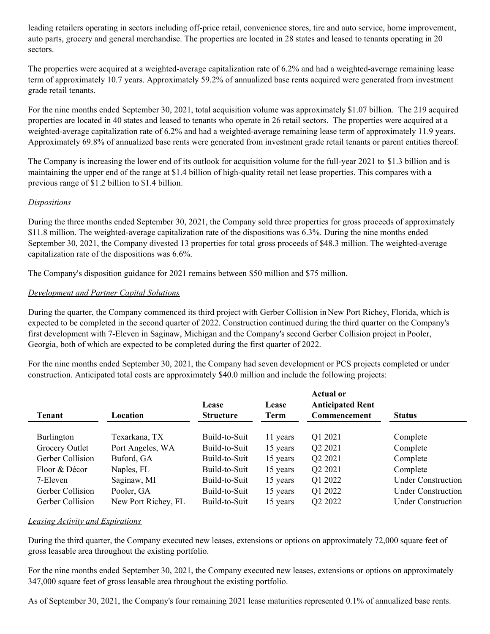leading retailers operating in sectors including off-price retail, convenience stores, tire and auto service, home improvement, auto parts, grocery and general merchandise. The properties are located in 28 states and leased to tenants operating in 20 sectors.

The properties were acquired at a weighted-average capitalization rate of 6.2% and had a weighted-average remaining lease term of approximately 10.7 years. Approximately 59.2% of annualized base rents acquired were generated from investment grade retail tenants.

For the nine months ended September 30, 2021, total acquisition volume was approximately \$1.07 billion. The 219 acquired properties are located in 40 states and leased to tenants who operate in 26 retail sectors. The properties were acquired at a weighted-average capitalization rate of 6.2% and had a weighted-average remaining lease term of approximately 11.9 years. Approximately 69.8% of annualized base rents were generated from investment grade retail tenants or parent entities thereof.

The Company is increasing the lower end of its outlook for acquisition volume for the full-year 2021 to \$1.3 billion and is maintaining the upper end of the range at \$1.4 billion of high-quality retail net lease properties. This compares with a previous range of \$1.2 billion to \$1.4 billion.

#### *Dispositions*

During the three months ended September 30, 2021, the Company sold three properties for gross proceeds of approximately \$11.8 million. The weighted-average capitalization rate of the dispositions was 6.3%. During the nine months ended September 30, 2021, the Company divested 13 properties for total gross proceeds of \$48.3 million. The weighted-average capitalization rate of the dispositions was 6.6%.

The Company's disposition guidance for 2021 remains between \$50 million and \$75 million.

#### *Development and Partner Capital Solutions*

During the quarter, the Company commenced its third project with Gerber Collision in New Port Richey, Florida, which is expected to be completed in the second quarter of 2022. Construction continued during the third quarter on the Company's first development with 7-Eleven in Saginaw, Michigan and the Company's second Gerber Collision project in Pooler, Georgia, both of which are expected to be completed during the first quarter of 2022.

For the nine months ended September 30, 2021, the Company had seven development or PCS projects completed or under construction. Anticipated total costs are approximately \$40.0 million and include the following projects:

| Tenant |                  |                     | <b>Lease</b>     | Lease    | <b>Actual or</b><br><b>Anticipated Rent</b> |                           |
|--------|------------------|---------------------|------------------|----------|---------------------------------------------|---------------------------|
|        |                  | Location            | <b>Structure</b> | Term     | Commencement                                | <b>Status</b>             |
|        |                  |                     |                  |          |                                             |                           |
|        | Burlington       | Texarkana, TX       | Build-to-Suit    | 11 years | Q1 2021                                     | Complete                  |
|        | Grocery Outlet   | Port Angeles, WA    | Build-to-Suit    | 15 years | Q <sub>2</sub> 20 <sub>21</sub>             | Complete                  |
|        | Gerber Collision | Buford, GA          | Build-to-Suit    | 15 years | Q2 2021                                     | Complete                  |
|        | Floor & Décor    | Naples, FL          | Build-to-Suit    | 15 years | Q2 2021                                     | Complete                  |
|        | 7-Eleven         | Saginaw, MI         | Build-to-Suit    | 15 years | Q1 2022                                     | <b>Under Construction</b> |
|        | Gerber Collision | Pooler, GA          | Build-to-Suit    | 15 years | Q1 2022                                     | <b>Under Construction</b> |
|        | Gerber Collision | New Port Richey, FL | Build-to-Suit    | 15 years | O <sub>2</sub> 2022                         | <b>Under Construction</b> |

#### *Leasing Activity and Expirations*

During the third quarter, the Company executed new leases, extensions or options on approximately 72,000 square feet of gross leasable area throughout the existing portfolio.

For the nine months ended September 30, 2021, the Company executed new leases, extensions or options on approximately 347,000 square feet of gross leasable area throughout the existing portfolio.

As of September 30, 2021, the Company's four remaining 2021 lease maturities represented 0.1% of annualized base rents.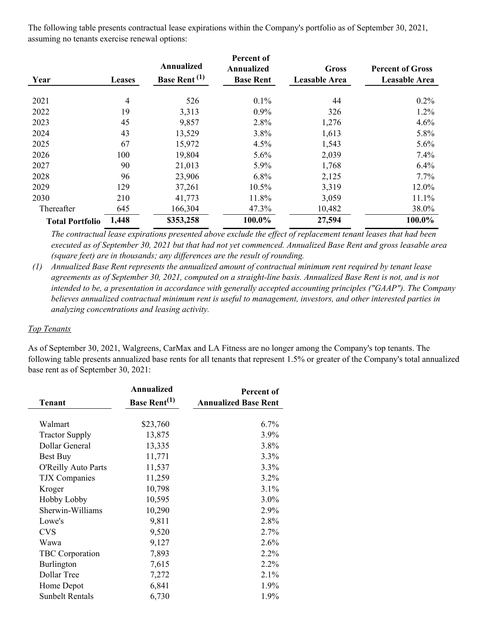The following table presents contractual lease expirations within the Company's portfolio as of September 30, 2021, assuming no tenants exercise renewal options:

|                        |               | Annualized                      | Percent of<br>Annualized | Gross         | <b>Percent of Gross</b> |  |  |
|------------------------|---------------|---------------------------------|--------------------------|---------------|-------------------------|--|--|
| Year                   | <b>Leases</b> | <b>Base Rent</b> <sup>(1)</sup> | <b>Base Rent</b>         | Leasable Area | Leasable Area           |  |  |
|                        |               |                                 |                          |               |                         |  |  |
| 2021                   | 4             | 526                             | $0.1\%$                  | 44            | $0.2\%$                 |  |  |
| 2022                   | 19            | 3,313                           | $0.9\%$                  | 326           | $1.2\%$                 |  |  |
| 2023                   | 45            | 9,857                           | 2.8%                     | 1,276         | 4.6%                    |  |  |
| 2024                   | 43            | 13,529                          | 3.8%                     | 1,613         | 5.8%                    |  |  |
| 2025                   | 67            | 15,972                          | 4.5%                     | 1,543         | $5.6\%$                 |  |  |
| 2026                   | 100           | 19,804                          | 5.6%                     | 2,039         | $7.4\%$                 |  |  |
| 2027                   | 90            | 21,013                          | 5.9%                     | 1,768         | 6.4%                    |  |  |
| 2028                   | 96            | 23,906                          | $6.8\%$                  | 2,125         | $7.7\%$                 |  |  |
| 2029                   | 129           | 37,261                          | 10.5%                    | 3,319         | 12.0%                   |  |  |
| 2030                   | 210           | 41,773                          | 11.8%                    | 3,059         | 11.1%                   |  |  |
| Thereafter             | 645           | 166,304                         | 47.3%                    | 10,482        | 38.0%                   |  |  |
| <b>Total Portfolio</b> | 1,448         | \$353,258                       | 100.0%                   | 27,594        | 100.0%                  |  |  |

The contractual lease expirations presented above exclude the effect of replacement tenant leases that had been executed as of September 30, 2021 but that had not yet commenced. Annualized Base Rent and gross leasable area *(square feet) are in thousands; any dif erences are the result of rounding.*

*(1) Annualized Base Rent represents the annualized amount of contractual minimum rent required by tenant lease* agreements as of September 30, 2021, computed on a straight-line basis. Annualized Base Rent is not, and is not *intended to be, a presentation in accordance with generally accepted accounting principles ("GAAP"). The Company believes annualized contractual minimum rent is useful to management, investors, and other interested parties in analyzing concentrations and leasing activity.*

#### *Top Tenants*

As of September 30, 2021, Walgreens, CarMax and LA Fitness are no longer among the Company's top tenants. The following table presents annualized base rents for all tenants that represent 1.5% or greater of the Company's total annualized base rent as of September 30, 2021:

|                            | Annualized                      | Percent of                  |
|----------------------------|---------------------------------|-----------------------------|
| <b>Tenant</b>              | <b>Base Rent</b> <sup>(1)</sup> | <b>Annualized Base Rent</b> |
|                            |                                 |                             |
| Walmart                    | \$23,760                        | $6.7\%$                     |
| <b>Tractor Supply</b>      | 13,875                          | $3.9\%$                     |
| Dollar General             | 13,335                          | 3.8%                        |
| Best Buy                   | 11,771                          | 3.3%                        |
| <b>O'Reilly Auto Parts</b> | 11,537                          | 3.3%                        |
| <b>TJX</b> Companies       | 11,259                          | 3.2%                        |
| Kroger                     | 10,798                          | $3.1\%$                     |
| Hobby Lobby                | 10,595                          | 3.0%                        |
| Sherwin-Williams           | 10,290                          | 2.9%                        |
| Lowe's                     | 9,811                           | 2.8%                        |
| <b>CVS</b>                 | 9,520                           | 2.7%                        |
| Wawa                       | 9,127                           | $2.6\%$                     |
| <b>TBC</b> Corporation     | 7,893                           | 2.2%                        |
| Burlington                 | 7,615                           | 2.2%                        |
| Dollar Tree                | 7,272                           | $2.1\%$                     |
| Home Depot                 | 6,841                           | 1.9%                        |
| <b>Sunbelt Rentals</b>     | 6,730                           | 1.9%                        |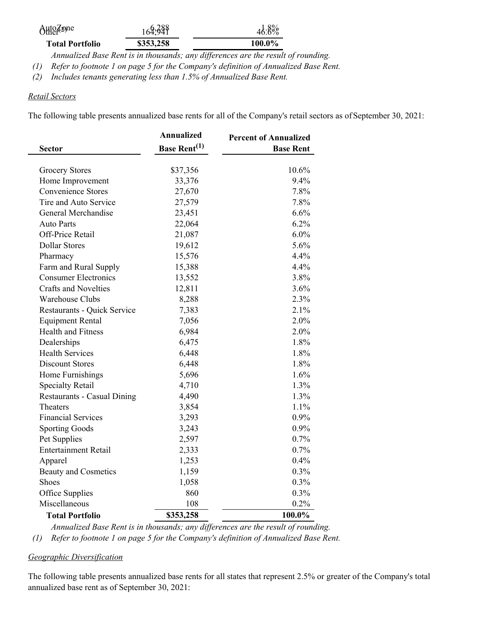| $\bigoplus_{n=1}^{\infty}$ | 169.388   | $46.8\%$  |
|----------------------------|-----------|-----------|
| <b>Total Portfolio</b>     | \$353,258 | $100.0\%$ |

*Annualized Base Rent is in thousands; any dif erences are the result of rounding.*

*(1) Refer to footnote 1 on page 5 for the Company's definition of Annualized Base Rent.*

*(2) Includes tenants generating less than 1.5% of Annualized Base Rent.*

## *Retail Sectors*

The following table presents annualized base rents for all of the Company's retail sectors as ofSeptember 30, 2021:

|                                    | Annualized                      | <b>Percent of Annualized</b> |  |  |  |
|------------------------------------|---------------------------------|------------------------------|--|--|--|
| <b>Sector</b>                      | <b>Base Rent</b> <sup>(1)</sup> | <b>Base Rent</b>             |  |  |  |
|                                    |                                 |                              |  |  |  |
| <b>Grocery Stores</b>              | \$37,356                        | 10.6%                        |  |  |  |
| Home Improvement                   | 33,376                          | 9.4%                         |  |  |  |
| <b>Convenience Stores</b>          | 27,670                          | 7.8%                         |  |  |  |
| Tire and Auto Service              | 27,579                          | 7.8%                         |  |  |  |
| General Merchandise                | 23,451                          | 6.6%                         |  |  |  |
| <b>Auto Parts</b>                  | 22,064                          | 6.2%                         |  |  |  |
| Off-Price Retail                   | 21,087                          | 6.0%                         |  |  |  |
| <b>Dollar Stores</b>               | 19,612                          | 5.6%                         |  |  |  |
| Pharmacy                           | 15,576                          | 4.4%                         |  |  |  |
| Farm and Rural Supply              | 15,388                          | 4.4%                         |  |  |  |
| <b>Consumer Electronics</b>        | 13,552                          | 3.8%                         |  |  |  |
| <b>Crafts and Novelties</b>        | 12,811                          | 3.6%                         |  |  |  |
| <b>Warehouse Clubs</b>             | 8,288                           | 2.3%                         |  |  |  |
| Restaurants - Quick Service        | 7,383                           | 2.1%                         |  |  |  |
| <b>Equipment Rental</b>            | 7,056                           | 2.0%                         |  |  |  |
| <b>Health and Fitness</b>          | 6,984                           | 2.0%                         |  |  |  |
| Dealerships                        | 6,475                           | 1.8%                         |  |  |  |
| <b>Health Services</b>             | 6,448                           | 1.8%                         |  |  |  |
| <b>Discount Stores</b>             | 6,448                           | 1.8%                         |  |  |  |
| Home Furnishings                   | 5,696                           | 1.6%                         |  |  |  |
| <b>Specialty Retail</b>            | 4,710                           | 1.3%                         |  |  |  |
| <b>Restaurants - Casual Dining</b> | 4,490                           | 1.3%                         |  |  |  |
| Theaters                           | 3,854                           | 1.1%                         |  |  |  |
| <b>Financial Services</b>          | 3,293                           | 0.9%                         |  |  |  |
| <b>Sporting Goods</b>              | 3,243                           | 0.9%                         |  |  |  |
| Pet Supplies                       | 2,597                           | 0.7%                         |  |  |  |
| <b>Entertainment Retail</b>        | 2,333                           | 0.7%                         |  |  |  |
| Apparel                            | 1,253                           | 0.4%                         |  |  |  |
| Beauty and Cosmetics               | 1,159                           | 0.3%                         |  |  |  |
| <b>Shoes</b>                       | 1,058                           | 0.3%                         |  |  |  |
| Office Supplies                    | 860                             | 0.3%                         |  |  |  |
| Miscellaneous                      | 108                             | 0.2%                         |  |  |  |
| <b>Total Portfolio</b>             | \$353,258                       | 100.0%                       |  |  |  |

*Annualized Base Rent is in thousands; any dif erences are the result of rounding.*

*(1) Refer to footnote 1 on page 5 for the Company's definition of Annualized Base Rent.*

## *Geographic Diversification*

The following table presents annualized base rents for all states that represent 2.5% or greater of the Company's total annualized base rent as of September 30, 2021: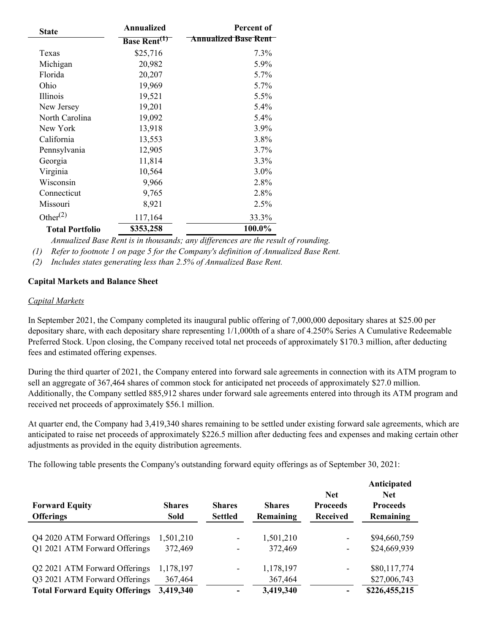| <b>State</b>           | Annualized                     | Percent of                  |
|------------------------|--------------------------------|-----------------------------|
|                        | <b>Base Rent<sup>(1)</sup></b> | <b>Annualized Base Rent</b> |
| Texas                  | \$25,716                       | 7.3%                        |
| Michigan               | 20,982                         | 5.9%                        |
| Florida                | 20,207                         | 5.7%                        |
| Ohio                   | 19,969                         | 5.7%                        |
| Illinois               | 19,521                         | 5.5%                        |
| New Jersey             | 19,201                         | 5.4%                        |
| North Carolina         | 19,092                         | 5.4%                        |
| New York               | 13,918                         | 3.9%                        |
| California             | 13,553                         | 3.8%                        |
| Pennsylvania           | 12,905                         | 3.7%                        |
| Georgia                | 11,814                         | 3.3%                        |
| Virginia               | 10,564                         | 3.0%                        |
| Wisconsin              | 9,966                          | 2.8%                        |
| Connecticut            | 9,765                          | 2.8%                        |
| Missouri               | 8,921                          | 2.5%                        |
| Other $^{(2)}$         | 117,164                        | 33.3%                       |
| <b>Total Portfolio</b> | \$353,258                      | 100.0%                      |

*Annualized Base Rent is in thousands; any dif erences are the result of rounding.*

*(1) Refer to footnote 1 on page 5 for the Company's definition of Annualized Base Rent.*

*(2) Includes states generating less than 2.5% of Annualized Base Rent.*

## **Capital Markets and Balance Sheet**

## *Capital Markets*

In September 2021, the Company completed its inaugural public offering of 7,000,000 depositary shares at \$25.00 per depositary share, with each depositary share representing 1/1,000th of a share of 4.250% Series A Cumulative Redeemable Preferred Stock. Upon closing, the Company received total net proceeds of approximately \$170.3 million, after deducting fees and estimated offering expenses.

During the third quarter of 2021, the Company entered into forward sale agreements in connection with its ATM program to sell an aggregate of 367,464 shares of common stock for anticipated net proceeds of approximately \$27.0 million. Additionally, the Company settled 885,912 shares under forward sale agreements entered into through its ATM program and received net proceeds of approximately \$56.1 million.

At quarter end, the Company had 3,419,340 shares remaining to be settled under existing forward sale agreements, which are anticipated to raise net proceeds of approximately \$226.5 million after deducting fees and expenses and making certain other adjustments as provided in the equity distribution agreements.

The following table presents the Company's outstanding forward equity offerings as of September 30, 2021:

| <b>Forward Equity</b><br><b>Offerings</b> | <b>Shares</b><br><b>Sold</b> | <b>Shares</b><br><b>Settled</b> | <b>Shares</b><br>Remaining | <b>Net</b><br><b>Proceeds</b><br><b>Received</b> | Anticipated<br><b>Net</b><br><b>Proceeds</b><br>Remaining |
|-------------------------------------------|------------------------------|---------------------------------|----------------------------|--------------------------------------------------|-----------------------------------------------------------|
|                                           |                              |                                 |                            |                                                  |                                                           |
| Q4 2020 ATM Forward Offerings             | 1,501,210                    | ۰                               | 1,501,210                  | -                                                | \$94,660,759                                              |
| Q1 2021 ATM Forward Offerings             | 372,469                      | ۰                               | 372,469                    | ٠                                                | \$24,669,939                                              |
| Q2 2021 ATM Forward Offerings             | 1,178,197                    |                                 | 1,178,197                  | ۰                                                | \$80,117,774                                              |
|                                           |                              |                                 |                            |                                                  |                                                           |
| Q3 2021 ATM Forward Offerings             | 367,464                      |                                 | 367,464                    |                                                  | \$27,006,743                                              |
| <b>Total Forward Equity Offerings</b>     | 3,419,340                    |                                 | 3,419,340                  | $\blacksquare$                                   | \$226,455,215                                             |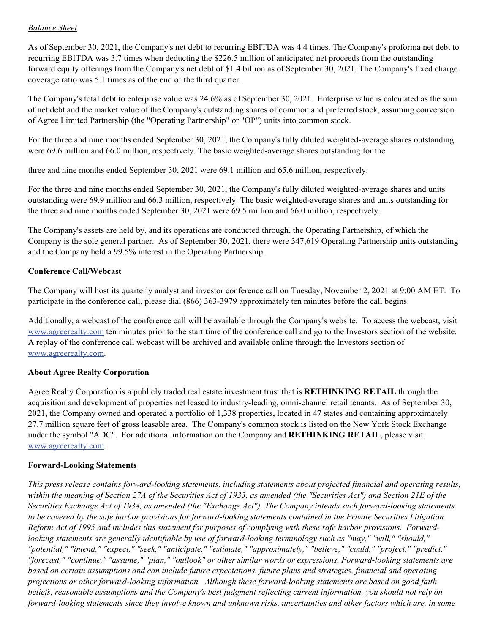## *Balance Sheet*

As of September 30, 2021, the Company's net debt to recurring EBITDA was 4.4 times. The Company's proforma net debt to recurring EBITDA was 3.7 times when deducting the \$226.5 million of anticipated net proceeds from the outstanding forward equity offerings from the Company's net debt of \$1.4 billion as of September 30, 2021. The Company's fixed charge coverage ratio was 5.1 times as of the end of the third quarter.

The Company's total debt to enterprise value was 24.6% as of September 30, 2021. Enterprise value is calculated as the sum of net debt and the market value of the Company's outstanding shares of common and preferred stock, assuming conversion of Agree Limited Partnership (the "Operating Partnership" or "OP") units into common stock.

For the three and nine months ended September 30, 2021, the Company's fully diluted weighted-average shares outstanding were 69.6 million and 66.0 million, respectively. The basic weighted-average shares outstanding for the

three and nine months ended September 30, 2021 were 69.1 million and 65.6 million, respectively.

For the three and nine months ended September 30, 2021, the Company's fully diluted weighted-average shares and units outstanding were 69.9 million and 66.3 million, respectively. The basic weighted-average shares and units outstanding for the three and nine months ended September 30, 2021 were 69.5 million and 66.0 million, respectively.

The Company's assets are held by, and its operations are conducted through, the Operating Partnership, of which the Company is the sole general partner. As of September 30, 2021, there were 347,619 Operating Partnership units outstanding and the Company held a 99.5% interest in the Operating Partnership.

## **Conference Call/Webcast**

The Company will host its quarterly analyst and investor conference call on Tuesday, November 2, 2021 at 9:00 AM ET. To participate in the conference call, please dial (866) 363-3979 approximately ten minutes before the call begins.

Additionally, a webcast of the conference call will be available through the Company's website. To access the webcast, visit [www.agreerealty.com](https://c212.net/c/link/?t=0&l=en&o=3342666-1&h=2197656005&u=http%3A%2F%2Fwww.agreerealty.com%2F&a=www.agreerealty.com) ten minutes prior to the start time of the conference call and go to the Investors section of the website. A replay of the conference call webcast will be archived and available online through the Investors section of [www.agreerealty.com](https://c212.net/c/link/?t=0&l=en&o=3342666-1&h=2197656005&u=http%3A%2F%2Fwww.agreerealty.com%2F&a=www.agreerealty.com).

#### **About Agree Realty Corporation**

Agree Realty Corporation is a publicly traded real estate investment trust that is **RETHINKING RETAIL** through the acquisition and development of properties net leased to industry-leading, omni-channel retail tenants. As of September 30, 2021, the Company owned and operated a portfolio of 1,338 properties, located in 47 states and containing approximately 27.7 million square feet of gross leasable area. The Company's common stock is listed on the New York Stock Exchange under the symbol "ADC". For additional information on the Company and **RETHINKING RETAIL**, please visit [www.agreerealty.com](https://c212.net/c/link/?t=0&l=en&o=3342666-1&h=2197656005&u=http%3A%2F%2Fwww.agreerealty.com%2F&a=www.agreerealty.com).

#### **Forward-Looking Statements**

*This press release contains forward-looking statements, including statements about projected financial and operating results,* within the meaning of Section 27A of the Securities Act of 1933, as amended (the "Securities Act") and Section 21E of the Securities Exchange Act of 1934, as amended (the "Exchange Act"). The Company intends such forward-looking statements to be covered by the safe harbor provisions for forward-looking statements contained in the Private Securities Litigation Reform Act of 1995 and includes this statement for purposes of complying with these safe harbor provisions. Forward*looking statements are generally identifiable by use of forward-looking terminology such as "may," "will," "should," "potential," "intend," "expect," "seek," "anticipate," "estimate," "approximately," "believe," "could," "project," "predict," "forecast," "continue," "assume," "plan," "outlook" or other similar words or expressions. Forward-looking statements are* based on certain assumptions and can include future expectations, future plans and strategies, financial and operating *projections or other forward-looking information. Although these forward-looking statements are based on good faith* beliefs, reasonable assumptions and the Company's best judgment reflecting current information, you should not rely on forward-looking statements since they involve known and unknown risks, uncertainties and other factors which are, in some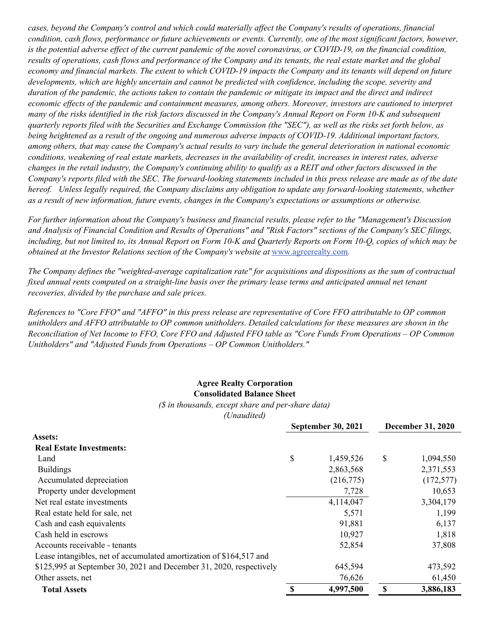cases, beyond the Company's control and which could materially affect the Company's results of operations, financial condition, cash flows, performance or future achievements or events. Currently, one of the most significant factors, however, is the potential adverse effect of the current pandemic of the novel coronavirus, or COVID-19, on the financial condition, results of operations, cash flows and performance of the Company and its tenants, the real estate market and the global economy and financial markets. The extent to which COVID-19 impacts the Company and its tenants will depend on future developments, which are highly uncertain and cannot be predicted with confidence, including the scope, severity and duration of the pandemic, the actions taken to contain the pandemic or mitigate its impact and the direct and indirect economic effects of the pandemic and containment measures, among others. Moreover, investors are cautioned to interpret many of the risks identified in the risk factors discussed in the Company's Annual Report on Form 10-K and subsequent quarterly reports filed with the Securities and Exchange Commission (the "SEC"), as well as the risks set forth below, as being heightened as a result of the ongoing and numerous adverse impacts of COVID-19. Additional important factors, among others, that may cause the Company's actual results to vary include the general deterioration in national economic conditions, weakening of real estate markets, decreases in the availability of credit, increases in interest rates, adverse changes in the retail industry, the Company's continuing ability to qualify as a REIT and other factors discussed in the Company's reports filed with the SEC. The forward-looking statements included in this press release are made as of the date *hereof. Unless legally required, the Company disclaims any obligation to update any forward-looking statements, whether* as a result of new information, future events, changes in the Company's expectations or assumptions or otherwise.

For further information about the Company's business and financial results, please refer to the "Management's Discussion and Analysis of Financial Condition and Results of Operations" and "Risk Factors" sections of the Company's SEC filings, including, but not limited to, its Annual Report on Form 10-K and Quarterly Reports on Form 10-Q, copies of which may be *obtained at the Investor Relations section of the Company's website at* [www.agreerealty.com](https://c212.net/c/link/?t=0&l=en&o=3342666-1&h=2197656005&u=http%3A%2F%2Fwww.agreerealty.com%2F&a=www.agreerealty.com)*.*

The Company defines the "weighted-average capitalization rate" for acquisitions and dispositions as the sum of contractual fixed annual rents computed on a straight-line basis over the primary lease terms and anticipated annual net tenant *recoveries, divided by the purchase and sale prices.*

References to "Core FFO" and "AFFO" in this press release are representative of Core FFO attributable to OP common unitholders and AFFO attributable to OP common unitholders. Detailed calculations for these measures are shown in the Reconciliation of Net Income to FFO, Core FFO and Adjusted FFO table as "Core Funds From Operations – OP Common *Unitholders" and "Adjusted Funds from Operations – OP Common Unitholders."*

# **Agree Realty Corporation Consolidated Balance Sheet**

#### *(\$ in thousands, except share and per-share data)*

*(Unaudited)*

|                                                                      | <b>September 30, 2021</b> | <b>December 31, 2020</b> |            |  |
|----------------------------------------------------------------------|---------------------------|--------------------------|------------|--|
| <b>Assets:</b>                                                       |                           |                          |            |  |
| <b>Real Estate Investments:</b>                                      |                           |                          |            |  |
| Land                                                                 | \$<br>1,459,526           | \$                       | 1,094,550  |  |
| <b>Buildings</b>                                                     | 2,863,568                 |                          | 2,371,553  |  |
| Accumulated depreciation                                             | (216,775)                 |                          | (172, 577) |  |
| Property under development                                           | 7,728                     |                          | 10,653     |  |
| Net real estate investments                                          | 4,114,047                 |                          | 3,304,179  |  |
| Real estate held for sale, net                                       | 5,571                     |                          | 1,199      |  |
| Cash and cash equivalents                                            | 91,881                    |                          | 6,137      |  |
| Cash held in escrows                                                 | 10,927                    |                          | 1,818      |  |
| Accounts receivable - tenants                                        | 52,854                    |                          | 37,808     |  |
| Lease intangibles, net of accumulated amortization of \$164,517 and  |                           |                          |            |  |
| $$125,995$ at September 30, 2021 and December 31, 2020, respectively | 645,594                   |                          | 473,592    |  |
| Other assets, net                                                    | 76,626                    |                          | 61,450     |  |
| <b>Total Assets</b>                                                  | 4,997,500                 | \$                       | 3,886,183  |  |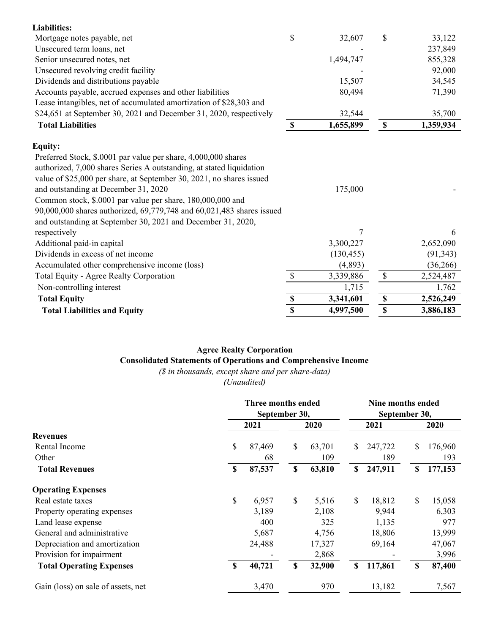| Liabilities:                                                          |                         |            |                           |           |
|-----------------------------------------------------------------------|-------------------------|------------|---------------------------|-----------|
| Mortgage notes payable, net                                           | \$                      | 32,607     | \$                        | 33,122    |
| Unsecured term loans, net                                             |                         |            |                           | 237,849   |
| Senior unsecured notes, net                                           |                         | 1,494,747  |                           | 855,328   |
| Unsecured revolving credit facility                                   |                         |            |                           | 92,000    |
| Dividends and distributions payable                                   |                         | 15,507     |                           | 34,545    |
| Accounts payable, accrued expenses and other liabilities              |                         | 80,494     |                           | 71,390    |
| Lease intangibles, net of accumulated amortization of \$28,303 and    |                         |            |                           |           |
| \$24,651 at September 30, 2021 and December 31, 2020, respectively    |                         | 32,544     |                           | 35,700    |
| <b>Total Liabilities</b>                                              | $\pmb{\mathbb{S}}$      | 1,655,899  | $\boldsymbol{\mathsf{S}}$ | 1,359,934 |
| <b>Equity:</b>                                                        |                         |            |                           |           |
| Preferred Stock, \$.0001 par value per share, 4,000,000 shares        |                         |            |                           |           |
| authorized, 7,000 shares Series A outstanding, at stated liquidation  |                         |            |                           |           |
| value of \$25,000 per share, at September 30, 2021, no shares issued  |                         |            |                           |           |
| and outstanding at December 31, 2020                                  |                         | 175,000    |                           |           |
| Common stock, \$.0001 par value per share, 180,000,000 and            |                         |            |                           |           |
| 90,000,000 shares authorized, 69,779,748 and 60,021,483 shares issued |                         |            |                           |           |
| and outstanding at September 30, 2021 and December 31, 2020,          |                         |            |                           |           |
| respectively                                                          |                         | 7          |                           | 6         |
| Additional paid-in capital                                            |                         | 3,300,227  |                           | 2,652,090 |
| Dividends in excess of net income                                     |                         | (130, 455) |                           | (91, 343) |
| Accumulated other comprehensive income (loss)                         |                         | (4,893)    |                           | (36, 266) |
| Total Equity - Agree Realty Corporation                               | $\mathbb{S}$            | 3,339,886  | $\boldsymbol{\mathsf{S}}$ | 2,524,487 |
| Non-controlling interest                                              |                         | 1,715      |                           | 1,762     |
| <b>Total Equity</b>                                                   | $\pmb{\mathbb{S}}$      | 3,341,601  | $\boldsymbol{\mathsf{S}}$ | 2,526,249 |
| <b>Total Liabilities and Equity</b>                                   | $\overline{\mathbf{S}}$ | 4,997,500  | \$                        | 3,886,183 |

# **Agree Realty Corporation Consolidated Statements of Operations and Comprehensive Income**

*(\$ in thousands, except share and per share-data)*

*(Unaudited)*

|                                    | Three months ended<br>September 30, |    |        |    | Nine months ended<br>September 30, |             |         |  |
|------------------------------------|-------------------------------------|----|--------|----|------------------------------------|-------------|---------|--|
|                                    | 2021                                |    | 2020   |    | 2021                               |             | 2020    |  |
| <b>Revenues</b>                    |                                     |    |        |    |                                    |             |         |  |
| Rental Income                      | \$<br>87,469                        | \$ | 63,701 | \$ | 247,722                            | S.          | 176,960 |  |
| Other                              | 68                                  |    | 109    |    | 189                                |             | 193     |  |
| <b>Total Revenues</b>              | \$<br>87,537                        | \$ | 63,810 | \$ | 247,911                            | S           | 177,153 |  |
| <b>Operating Expenses</b>          |                                     |    |        |    |                                    |             |         |  |
| Real estate taxes                  | \$<br>6,957                         | \$ | 5,516  | \$ | 18,812                             | \$          | 15,058  |  |
| Property operating expenses        | 3,189                               |    | 2,108  |    | 9,944                              |             | 6,303   |  |
| Land lease expense                 | 400                                 |    | 325    |    | 1,135                              |             | 977     |  |
| General and administrative         | 5,687                               |    | 4,756  |    | 18,806                             |             | 13,999  |  |
| Depreciation and amortization      | 24,488                              |    | 17,327 |    | 69,164                             |             | 47,067  |  |
| Provision for impairment           |                                     |    | 2,868  |    |                                    |             | 3,996   |  |
| <b>Total Operating Expenses</b>    | \$<br>40,721                        | \$ | 32,900 | \$ | 117,861                            | $\mathbf S$ | 87,400  |  |
| Gain (loss) on sale of assets, net | 3,470                               |    | 970    |    | 13,182                             |             | 7,567   |  |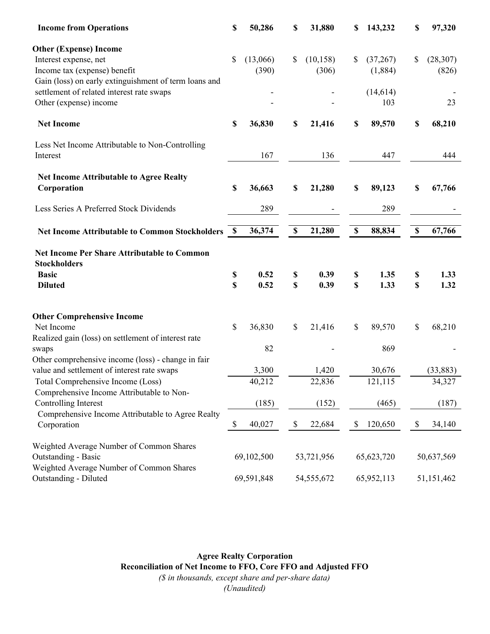| <b>Income from Operations</b>                                                                                                | \$       | 50,286            | \$                        | 31,880             | \$                 | 143,232             | \$                        | 97,320             |
|------------------------------------------------------------------------------------------------------------------------------|----------|-------------------|---------------------------|--------------------|--------------------|---------------------|---------------------------|--------------------|
| <b>Other (Expense) Income</b><br>Interest expense, net<br>Income tax (expense) benefit                                       | \$       | (13,066)<br>(390) | \$                        | (10, 158)<br>(306) | \$                 | (37,267)<br>(1,884) | \$                        | (28, 307)<br>(826) |
| Gain (loss) on early extinguishment of term loans and<br>settlement of related interest rate swaps<br>Other (expense) income |          |                   |                           |                    |                    | (14,614)<br>103     |                           | 23                 |
| <b>Net Income</b>                                                                                                            | \$       | 36,830            | \$                        | 21,416             | \$                 | 89,570              | \$                        | 68,210             |
| Less Net Income Attributable to Non-Controlling<br>Interest                                                                  |          | 167               |                           | 136                |                    | 447                 |                           | 444                |
| <b>Net Income Attributable to Agree Realty</b><br>Corporation                                                                | \$       | 36,663            | \$                        | 21,280             | \$                 | 89,123              | \$                        | 67,766             |
| Less Series A Preferred Stock Dividends                                                                                      |          | 289               |                           |                    |                    | 289                 |                           |                    |
| Net Income Attributable to Common Stockholders \$                                                                            |          | 36,374            | $\boldsymbol{\mathsf{S}}$ | 21,280             | $\pmb{\mathbb{S}}$ | 88,834              | $\boldsymbol{\mathsf{S}}$ | 67,766             |
| <b>Net Income Per Share Attributable to Common</b><br><b>Stockholders</b>                                                    |          |                   |                           |                    |                    |                     |                           |                    |
| <b>Basic</b><br><b>Diluted</b>                                                                                               | \$<br>\$ | 0.52<br>0.52      | \$<br>\$                  | 0.39<br>0.39       | \$<br>\$           | 1.35<br>1.33        | \$<br>\$                  | 1.33<br>1.32       |
| <b>Other Comprehensive Income</b><br>Net Income                                                                              | \$       | 36,830            | \$                        | 21,416             | \$                 | 89,570              | \$                        | 68,210             |
| Realized gain (loss) on settlement of interest rate<br>swaps                                                                 |          | 82                |                           |                    |                    | 869                 |                           |                    |
| Other comprehensive income (loss) - change in fair<br>value and settlement of interest rate swaps                            |          | 3,300             |                           | 1,420              |                    | 30,676              |                           | (33, 883)          |
| Total Comprehensive Income (Loss)                                                                                            |          | 40,212            |                           | 22,836             |                    | 121,115             |                           | 34,327             |
| Comprehensive Income Attributable to Non-<br>Controlling Interest<br>Comprehensive Income Attributable to Agree Realty       |          | (185)             |                           | (152)              |                    | (465)               |                           | (187)              |
| Corporation                                                                                                                  | \$       | 40,027            | \$                        | 22,684             | \$                 | 120,650             | \$                        | 34,140             |
| Weighted Average Number of Common Shares<br>Outstanding - Basic<br>Weighted Average Number of Common Shares                  |          | 69,102,500        |                           | 53,721,956         |                    | 65, 623, 720        |                           | 50,637,569         |
| Outstanding - Diluted                                                                                                        |          | 69,591,848        |                           | 54, 555, 672       |                    | 65,952,113          |                           | 51,151,462         |

# **Agree Realty Corporation Reconciliation of Net Income to FFO, Core FFO and Adjusted FFO** *(\$ in thousands, except share and per-share data)*

*(Unaudited)*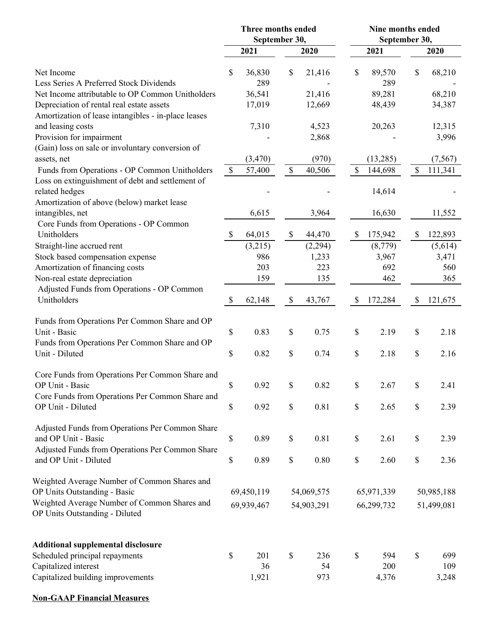|                                                                                                                                                                | Three months ended<br>September 30, |                                   |          |                            |          |                                   |          | Nine months ended<br>September 30, |  |
|----------------------------------------------------------------------------------------------------------------------------------------------------------------|-------------------------------------|-----------------------------------|----------|----------------------------|----------|-----------------------------------|----------|------------------------------------|--|
|                                                                                                                                                                |                                     | 2021                              |          | 2020                       |          | 2021                              |          | 2020                               |  |
| Net Income<br>Less Series A Preferred Stock Dividends<br>Net Income attributable to OP Common Unitholders<br>Depreciation of rental real estate assets         | \$                                  | 36,830<br>289<br>36,541<br>17,019 | \$       | 21,416<br>21,416<br>12,669 | \$       | 89,570<br>289<br>89,281<br>48,439 | \$       | 68,210<br>68,210<br>34,387         |  |
| Amortization of lease intangibles - in-place leases<br>and leasing costs<br>Provision for impairment<br>(Gain) loss on sale or involuntary conversion of       |                                     | 7,310                             |          | 4,523<br>2,868             |          | 20,263                            |          | 12,315<br>3,996                    |  |
| assets, net                                                                                                                                                    |                                     | (3,470)                           |          | (970)                      |          | (13,285)                          |          | (7, 567)                           |  |
| Funds from Operations - OP Common Unitholders                                                                                                                  | $\mathbb{S}$                        | 57,400                            | \$       | 40,506                     | \$       | 144,698                           | \$       | 111,341                            |  |
| Loss on extinguishment of debt and settlement of<br>related hedges<br>Amortization of above (below) market lease                                               |                                     | 6,615                             |          |                            |          | 14,614                            |          |                                    |  |
| intangibles, net<br>Core Funds from Operations - OP Common                                                                                                     |                                     |                                   |          | 3,964                      |          | 16,630                            |          | 11,552                             |  |
| Unitholders<br>Straight-line accrued rent                                                                                                                      | \$                                  | 64,015<br>(3,215)                 | \$       | 44,470<br>(2, 294)         | \$       | 175,942<br>(8,779)                | \$       | 122,893<br>(5,614)                 |  |
| Stock based compensation expense                                                                                                                               |                                     | 986                               |          | 1,233                      |          | 3,967                             |          | 3,471                              |  |
| Amortization of financing costs                                                                                                                                |                                     | 203                               |          | 223                        |          | 692                               |          | 560                                |  |
| Non-real estate depreciation                                                                                                                                   |                                     | 159                               |          | 135                        |          | 462                               |          | 365                                |  |
| Adjusted Funds from Operations - OP Common<br>Unitholders                                                                                                      | \$                                  | 62,148                            | \$       | 43,767                     | \$       | 172,284                           | \$       | 121,675                            |  |
| Funds from Operations Per Common Share and OP<br>Unit - Basic<br>Funds from Operations Per Common Share and OP<br>Unit - Diluted                               | \$<br>\$                            | 0.83<br>0.82                      | \$<br>\$ | 0.75<br>0.74               | \$<br>\$ | 2.19<br>2.18                      | \$<br>\$ | 2.18<br>2.16                       |  |
| Core Funds from Operations Per Common Share and<br>OP Unit - Basic<br>Core Funds from Operations Per Common Share and<br>OP Unit - Diluted                     | \$<br>\$                            | 0.92<br>0.92                      | \$<br>\$ | 0.82<br>0.81               | \$<br>\$ | 2.67<br>2.65                      | \$<br>\$ | 2.41<br>2.39                       |  |
| Adjusted Funds from Operations Per Common Share<br>and OP Unit - Basic<br>Adjusted Funds from Operations Per Common Share<br>and OP Unit - Diluted             | \$<br>\$                            | 0.89<br>0.89                      | \$<br>\$ | 0.81<br>0.80               | \$<br>\$ | 2.61<br>2.60                      | \$<br>\$ | 2.39<br>2.36                       |  |
| Weighted Average Number of Common Shares and<br>OP Units Outstanding - Basic<br>Weighted Average Number of Common Shares and<br>OP Units Outstanding - Diluted |                                     | 69,450,119<br>69,939,467          |          | 54,069,575<br>54,903,291   |          | 65,971,339<br>66,299,732          |          | 50,985,188<br>51,499,081           |  |
| <b>Additional supplemental disclosure</b><br>Scheduled principal repayments<br>Capitalized interest<br>Capitalized building improvements                       | \$                                  | 201<br>36<br>1,921                | \$       | 236<br>54<br>973           | \$       | 594<br>200<br>4,376               | \$       | 699<br>109<br>3,248                |  |

#### **Non-GAAP Financial Measures**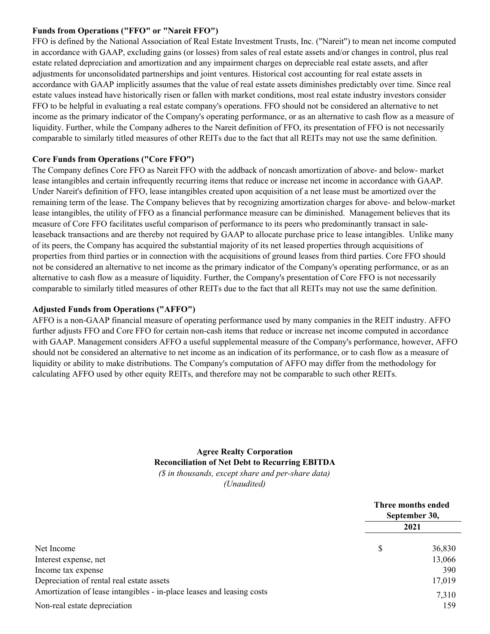### **Funds from Operations ("FFO" or "Nareit FFO")**

FFO is defined by the National Association of Real Estate Investment Trusts, Inc. ("Nareit") to mean net income computed in accordance with GAAP, excluding gains (or losses) from sales of real estate assets and/or changes in control, plus real estate related depreciation and amortization and any impairment charges on depreciable real estate assets, and after adjustments for unconsolidated partnerships and joint ventures. Historical cost accounting for real estate assets in accordance with GAAP implicitly assumes that the value of real estate assets diminishes predictably over time. Since real estate values instead have historically risen or fallen with market conditions, most real estate industry investors consider FFO to be helpful in evaluating a real estate company's operations. FFO should not be considered an alternative to net income as the primary indicator of the Company's operating performance, or as an alternative to cash flow as a measure of liquidity. Further, while the Company adheres to the Nareit definition of FFO, its presentation of FFO is not necessarily comparable to similarly titled measures of other REITs due to the fact that all REITs may not use the same definition.

## **Core Funds from Operations ("Core FFO")**

The Company defines Core FFO as Nareit FFO with the addback of noncash amortization of above- and below- market lease intangibles and certain infrequently recurring items that reduce or increase net income in accordance with GAAP. Under Nareit's definition of FFO, lease intangibles created upon acquisition of a net lease must be amortized over the remaining term of the lease. The Company believes that by recognizing amortization charges for above- and below-market lease intangibles, the utility of FFO as a financial performance measure can be diminished. Management believes that its measure of Core FFO facilitates useful comparison of performance to its peers who predominantly transact in saleleaseback transactions and are thereby not required by GAAP to allocate purchase price to lease intangibles. Unlike many of its peers, the Company has acquired the substantial majority of its net leased properties through acquisitions of properties from third parties or in connection with the acquisitions of ground leases from third parties. Core FFO should not be considered an alternative to net income as the primary indicator of the Company's operating performance, or as an alternative to cash flow as a measure of liquidity. Further, the Company's presentation of Core FFO is not necessarily comparable to similarly titled measures of other REITs due to the fact that all REITs may not use the same definition.

## **Adjusted Funds from Operations ("AFFO")**

AFFO is a non-GAAP financial measure of operating performance used by many companies in the REIT industry. AFFO further adjusts FFO and Core FFO for certain non-cash items that reduce or increase net income computed in accordance with GAAP. Management considers AFFO a useful supplemental measure of the Company's performance, however, AFFO should not be considered an alternative to net income as an indication of its performance, or to cash flow as a measure of liquidity or ability to make distributions. The Company's computation of AFFO may differ from the methodology for calculating AFFO used by other equity REITs, and therefore may not be comparable to such other REITs.

# **Agree Realty Corporation Reconciliation of Net Debt to Recurring EBITDA**

*(\$ in thousands, except share and per-share data) (Unaudited)*

|                                                                       | Three months ended<br>September 30,<br>2021 |        |  |
|-----------------------------------------------------------------------|---------------------------------------------|--------|--|
|                                                                       |                                             |        |  |
| Net Income                                                            | \$                                          | 36,830 |  |
| Interest expense, net                                                 |                                             | 13,066 |  |
| Income tax expense                                                    |                                             | 390    |  |
| Depreciation of rental real estate assets                             |                                             | 17,019 |  |
| Amortization of lease intangibles - in-place leases and leasing costs |                                             | 7,310  |  |
| Non-real estate depreciation                                          |                                             | 159    |  |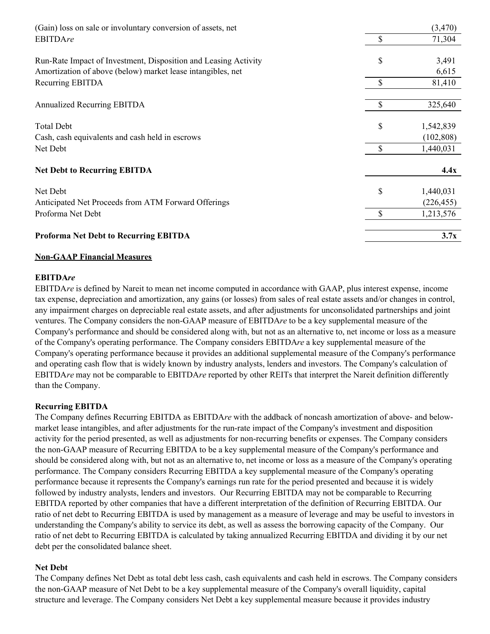| (Gain) loss on sale or involuntary conversion of assets, net    |      | (3, 470)   |  |  |
|-----------------------------------------------------------------|------|------------|--|--|
| <b>EBITDAre</b>                                                 | \$   | 71,304     |  |  |
|                                                                 |      |            |  |  |
| Run-Rate Impact of Investment, Disposition and Leasing Activity | \$   | 3,491      |  |  |
| Amortization of above (below) market lease intangibles, net     |      | 6,615      |  |  |
| Recurring EBITDA                                                | \$   | 81,410     |  |  |
|                                                                 |      |            |  |  |
| <b>Annualized Recurring EBITDA</b>                              | \$   | 325,640    |  |  |
|                                                                 |      |            |  |  |
| <b>Total Debt</b>                                               | \$   | 1,542,839  |  |  |
| Cash, cash equivalents and cash held in escrows                 |      | (102, 808) |  |  |
| Net Debt                                                        | \$   | 1,440,031  |  |  |
| <b>Net Debt to Recurring EBITDA</b>                             |      | 4.4x       |  |  |
|                                                                 |      |            |  |  |
| Net Debt                                                        | \$   | 1,440,031  |  |  |
| Anticipated Net Proceeds from ATM Forward Offerings             |      | (226, 455) |  |  |
| Proforma Net Debt                                               | \$   | 1,213,576  |  |  |
|                                                                 |      |            |  |  |
| <b>Proforma Net Debt to Recurring EBITDA</b>                    | 3.7x |            |  |  |

## **Non-GAAP Financial Measures**

## **EBITDA***re*

EBITDA*re* is defined by Nareit to mean net income computed in accordance with GAAP, plus interest expense, income tax expense, depreciation and amortization, any gains (or losses) from sales of real estate assets and/or changes in control, any impairment charges on depreciable real estate assets, and after adjustments for unconsolidated partnerships and joint ventures. The Company considers the non-GAAP measure of EBITDA*re* to be a key supplemental measure of the Company's performance and should be considered along with, but not as an alternative to, net income or loss as a measure of the Company's operating performance. The Company considers EBITDA*re* a key supplemental measure of the Company's operating performance because it provides an additional supplemental measure of the Company's performance and operating cash flow that is widely known by industry analysts, lenders and investors. The Company's calculation of EBITDA*re* may not be comparable to EBITDA*re* reported by other REITs that interpret the Nareit definition differently than the Company.

#### **Recurring EBITDA**

The Company defines Recurring EBITDA as EBITDA*re* with the addback of noncash amortization of above- and belowmarket lease intangibles, and after adjustments for the run-rate impact of the Company's investment and disposition activity for the period presented, as well as adjustments for non-recurring benefits or expenses. The Company considers the non-GAAP measure of Recurring EBITDA to be a key supplemental measure of the Company's performance and should be considered along with, but not as an alternative to, net income or loss as a measure of the Company's operating performance. The Company considers Recurring EBITDA a key supplemental measure of the Company's operating performance because it represents the Company's earnings run rate for the period presented and because it is widely followed by industry analysts, lenders and investors. Our Recurring EBITDA may not be comparable to Recurring EBITDA reported by other companies that have a different interpretation of the definition of Recurring EBITDA. Our ratio of net debt to Recurring EBITDA is used by management as a measure of leverage and may be useful to investors in understanding the Company's ability to service its debt, as well as assess the borrowing capacity of the Company. Our ratio of net debt to Recurring EBITDA is calculated by taking annualized Recurring EBITDA and dividing it by our net debt per the consolidated balance sheet.

## **Net Debt**

The Company defines Net Debt as total debt less cash, cash equivalents and cash held in escrows. The Company considers the non-GAAP measure of Net Debt to be a key supplemental measure of the Company's overall liquidity, capital structure and leverage. The Company considers Net Debt a key supplemental measure because it provides industry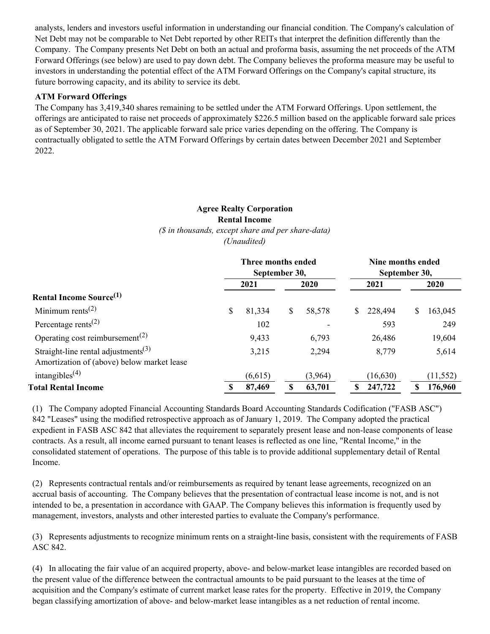analysts, lenders and investors useful information in understanding our financial condition. The Company's calculation of Net Debt may not be comparable to Net Debt reported by other REITs that interpret the definition differently than the Company. The Company presents Net Debt on both an actual and proforma basis, assuming the net proceeds of the ATM Forward Offerings (see below) are used to pay down debt. The Company believes the proforma measure may be useful to investors in understanding the potential effect of the ATM Forward Offerings on the Company's capital structure, its future borrowing capacity, and its ability to service its debt.

## **ATM Forward Offerings**

The Company has 3,419,340 shares remaining to be settled under the ATM Forward Offerings. Upon settlement, the offerings are anticipated to raise net proceeds of approximately \$226.5 million based on the applicable forward sale prices as of September 30, 2021. The applicable forward sale price varies depending on the offering. The Company is contractually obligated to settle the ATM Forward Offerings by certain dates between December 2021 and September 2022.

#### **Agree Realty Corporation Rental Income** *(\$ in thousands, except share and per share-data) (Unaudited)*

|                                                                                               | Three months ended<br>September 30, |         |    |         | Nine months ended<br>September 30, |           |   |             |
|-----------------------------------------------------------------------------------------------|-------------------------------------|---------|----|---------|------------------------------------|-----------|---|-------------|
|                                                                                               |                                     | 2021    |    | 2020    |                                    | 2021      |   | <b>2020</b> |
| Rental Income Source <sup>(1)</sup>                                                           |                                     |         |    |         |                                    |           |   |             |
| Minimum rents <sup><math>(2)</math></sup>                                                     | \$                                  | 81,334  | S. | 58,578  | \$                                 | 228,494   | S | 163,045     |
| Percentage rents <sup>(2)</sup>                                                               |                                     | 102     |    |         |                                    | 593       |   | 249         |
| Operating cost reimbursement <sup>(2)</sup>                                                   |                                     | 9,433   |    | 6,793   |                                    | 26,486    |   | 19,604      |
| Straight-line rental adjustments <sup>(3)</sup><br>Amortization of (above) below market lease |                                     | 3,215   |    | 2,294   |                                    | 8,779     |   | 5,614       |
| intangibles <sup><math>(4)</math></sup>                                                       |                                     | (6,615) |    | (3,964) |                                    | (16, 630) |   | (11, 552)   |
| <b>Total Rental Income</b>                                                                    | S                                   | 87,469  |    | 63,701  |                                    | 247,722   |   | 176,960     |

(1) The Company adopted Financial Accounting Standards Board Accounting Standards Codification ("FASB ASC") 842 "Leases" using the modified retrospective approach as of January 1, 2019. The Company adopted the practical expedient in FASB ASC 842 that alleviates the requirement to separately present lease and non-lease components of lease contracts. As a result, all income earned pursuant to tenant leases is reflected as one line, "Rental Income," in the consolidated statement of operations. The purpose of this table is to provide additional supplementary detail of Rental Income.

(2) Represents contractual rentals and/or reimbursements as required by tenant lease agreements, recognized on an accrual basis of accounting. The Company believes that the presentation of contractual lease income is not, and is not intended to be, a presentation in accordance with GAAP. The Company believes this information is frequently used by management, investors, analysts and other interested parties to evaluate the Company's performance.

(3) Represents adjustments to recognize minimum rents on a straight-line basis, consistent with the requirements of FASB ASC 842.

(4) In allocating the fair value of an acquired property, above- and below-market lease intangibles are recorded based on the present value of the difference between the contractual amounts to be paid pursuant to the leases at the time of acquisition and the Company's estimate of current market lease rates for the property. Effective in 2019, the Company began classifying amortization of above- and below-market lease intangibles as a net reduction of rental income.